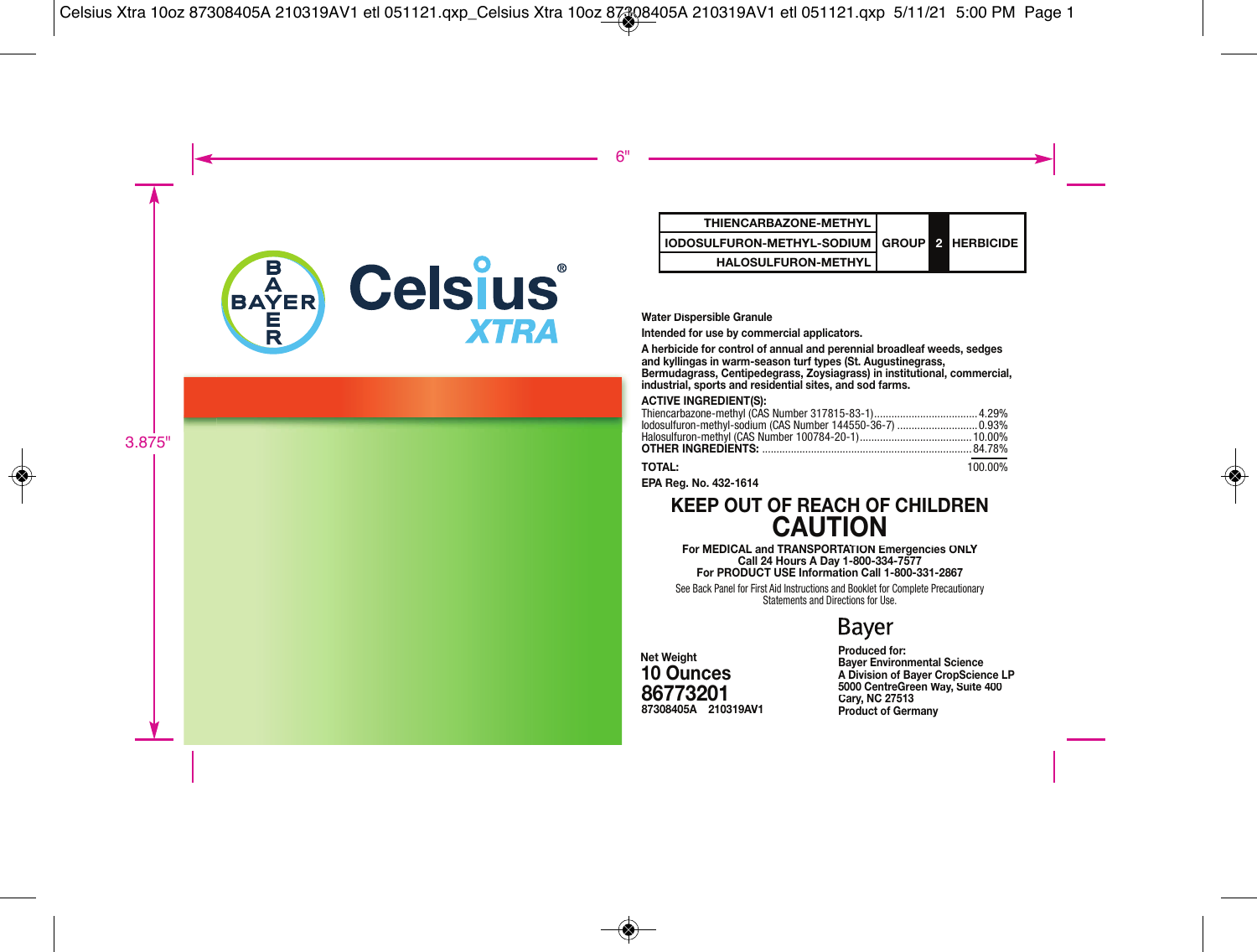

# **IODOSULFURON-METHYL-SODIUM GROUP HALOSULFURON-METHYL**

#### **Water Dispersible Granule**

#### **ACTIVE ING R**

| <b>I HILNCARBAZONE-METHYL</b>                                                                                                                                                                                                                                                   |              |                |                  |
|---------------------------------------------------------------------------------------------------------------------------------------------------------------------------------------------------------------------------------------------------------------------------------|--------------|----------------|------------------|
| IODOSULFURON-METHYL-SODIUM                                                                                                                                                                                                                                                      | <b>GROUP</b> | $\overline{2}$ | <b>HERBICIDE</b> |
| <b>HALOSULFURON-METHYL</b>                                                                                                                                                                                                                                                      |              |                |                  |
|                                                                                                                                                                                                                                                                                 |              |                |                  |
|                                                                                                                                                                                                                                                                                 |              |                |                  |
| Water Dispersible Granule                                                                                                                                                                                                                                                       |              |                |                  |
| Intended for use by commercial applicators.                                                                                                                                                                                                                                     |              |                |                  |
| A herbicide for control of annual and perennial broadleaf weeds, sedges<br>and kyllingas in warm-season turf types (St. Augustinegrass,<br>Bermudagrass, Centipedegrass, Zovsiagrass) in institutional, commercial,<br>industrial, sports and residential sites, and sod farms. |              |                |                  |
| <b>ACTIVE INGREDIENT(S):</b><br>lodosulfuron-methyl-sodium (CAS Number 144550-36-7)  0.93%                                                                                                                                                                                      |              |                |                  |
| <b>TOTAL:</b>                                                                                                                                                                                                                                                                   |              |                | 100.00%          |
| EPA Rea. No. 432-1614                                                                                                                                                                                                                                                           |              |                |                  |

### **KEE P OUT OF REACH OF CHILDREN CAUTION**

**For MEDICAL and TRANSPORTATION Emergencies ONLY Call 24 Hours A Day 1-800-334-7577 or PRODUCT USE Information Call 1-800-331-2867 Fo**

See Back Panel for First Aid Instructions and Booklet for Complete Precautionary Statements and Directions for Use.

# **Bayer**

**2 103 19A <sup>201</sup> AV 1 867732 87308405A ces 10 Ounc Net Weight**

#### **Cary y, NC 27513 een Way 5000 CentreGr Way, Suite 400 Produced for: Bayer Environmental Science A Division of Bayer CropScience LP Product of Germany**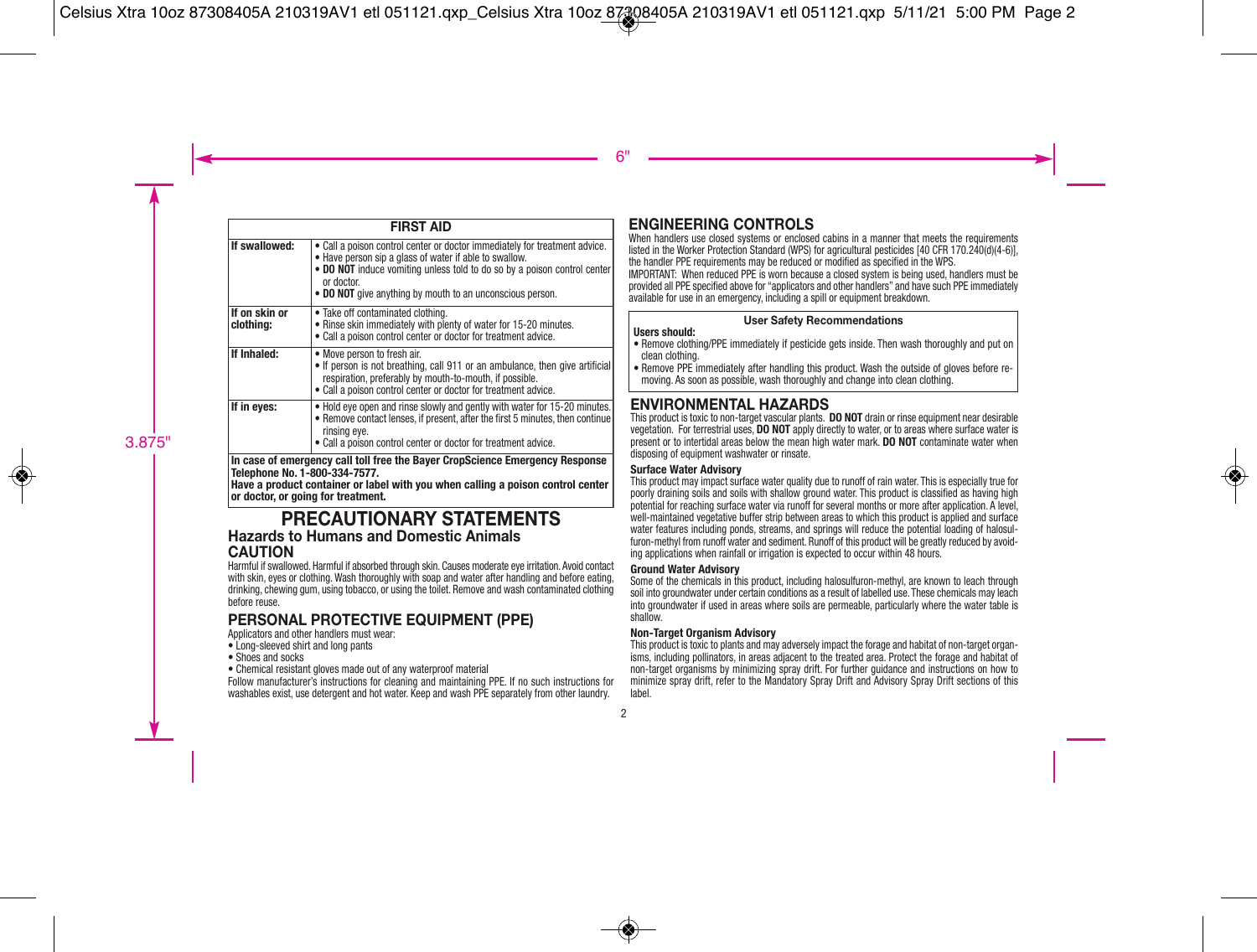|                                                                                                                                                                                                  | <b>FIRST AID</b>                                                                                                                                                                                                                                                                          |  |
|--------------------------------------------------------------------------------------------------------------------------------------------------------------------------------------------------|-------------------------------------------------------------------------------------------------------------------------------------------------------------------------------------------------------------------------------------------------------------------------------------------|--|
| If swallowed:                                                                                                                                                                                    | Call a poison control center or doctor immediately for treatment advice.<br>• Have person sip a glass of water if able to swallow.<br>. DO NOT induce vomiting unless told to do so by a poison control center<br>or doctor.<br>• DO NOT give anything by mouth to an unconscious person. |  |
| If on skin or<br>clothina:                                                                                                                                                                       | • Take off contaminated clothing.<br>• Rinse skin immediately with plenty of water for 15-20 minutes.<br>• Call a poison control center or doctor for treatment advice.                                                                                                                   |  |
| If Inhaled:                                                                                                                                                                                      | • Move person to fresh air.<br>• If person is not breathing, call 911 or an ambulance, then give artificial<br>respiration, preferably by mouth-to-mouth, if possible.<br>• Call a poison control center or doctor for treatment advice.                                                  |  |
| If in eyes:                                                                                                                                                                                      | . Hold eye open and rinse slowly and gently with water for 15-20 minutes.<br>• Remove contact lenses, if present, after the first 5 minutes, then continue<br>rinsing eve.<br>• Call a poison control center or doctor for treatment advice.                                              |  |
| In case of emergency call toll free the Bayer CropScience Emergency Response<br>Telephone No. 1-800-334-7577.<br>Have a product container or label with you when calling a poison control center |                                                                                                                                                                                                                                                                                           |  |

**or doctor, or going for treatment.**

#### **PRECAUTIONARY STATEMENTS Hazards to Humans and Domestic Animals CAUTION**

Harmful if swallowed. Harmful if absorbed through skin. Causes moderate eye irritation. Avoid contact with skin, eyes or clothing. Wash thoroughly with soap and water after handling and before eating. drinking, chewing gum, using tobacco, or using the toilet. Remove and wash contaminated clothing before reuse.

### **PERSONAL PROTECTIVE EQUIPMENT (PPE)**

Applicators and other handlers must wear:

- Long-sleeved shirt and long pants
- Shoes and socks
- Chemical resistant gloves made out of any waterproof material

Follow manufacturer's instructions for cleaning and maintaining PPE. If no such instructions for washables exist, use detergent and hot water. Keep and wash PPE separately from other laundry.

### **ENGINEERING CONTROLS**

When handlers use closed systems or enclosed cabins in a manner that meets the requirements listed in the Worker Protection Standard (WPS) for agricultural pesticides [40 CFR 170.240(d)(4-6)], the handler PPE requirements may be reduced or modified as specified in the WPS.

IMPORTANT: When reduced PPE is worn because a closed system is being used, handlers must be provided all PPE specified above for "applicators and other handlers" and have such PPE immediately available for use in an emergency, including a spill or equipment breakdown.

### **User Safety Recommendations**

#### **Users should:**

- Remove clothing/PPE immediately if pesticide gets inside. Then wash thoroughly and put on clean clothing.
- Remove PPE immediately after handling this product. Wash the outside of gloves before re moving. As soon as possible, wash thoroughly and change into clean clothing.

### **ENVIRONMENTAL HAZARDS**

This product is toxic to non-target vascular plants. **DO NOT** drain or rinse equipment near desirable vegetation. For terrestrial uses, **DO NOT** apply directly to water, or to areas where surface water is present or to intertidal areas below the mean high water mark. **DO NOT** contaminate water when disposing of equipment washwater or rinsate.

#### **Surface Water Advisory**

This product may impact surface water quality due to runoff of rain water. This is especially true for poorly draining soils and soils with shallow ground water. This product is classified as having high potential for reaching surface water via runoff for several months or more after application. A level, well-maintained vegetative buffer strip between areas to which this product is applied and surface water features including ponds, streams, and springs will reduce the potential loading of halosulfuron-methyl from runoff water and sediment. Runoff of this product will be greatly reduced by avoiding applications when rainfall or irrigation is expected to occur within 48 hours.

#### **Ground Water Advisory**

Some of the chemicals in this product, including halosulfuron-methyl, are known to leach through soil into groundwater under certain conditions as a result of labelled use. These chemicals may leach into groundwater if used in areas where soils are permeable, particularly where the water table is shallow.

#### **Non-Target Organism Advisory**

This product is toxic to plants and may adversely impact the forage and habitat of non-target organ isms, including pollinators, in areas adjacent to the treated area. Protect the forage and habitat of non-target organisms by minimizing spray drift. For further guidance and instructions on how to minimize spray drift, refer to the Mandatory Spray Drift and Advisory Spray Drift sections of this label.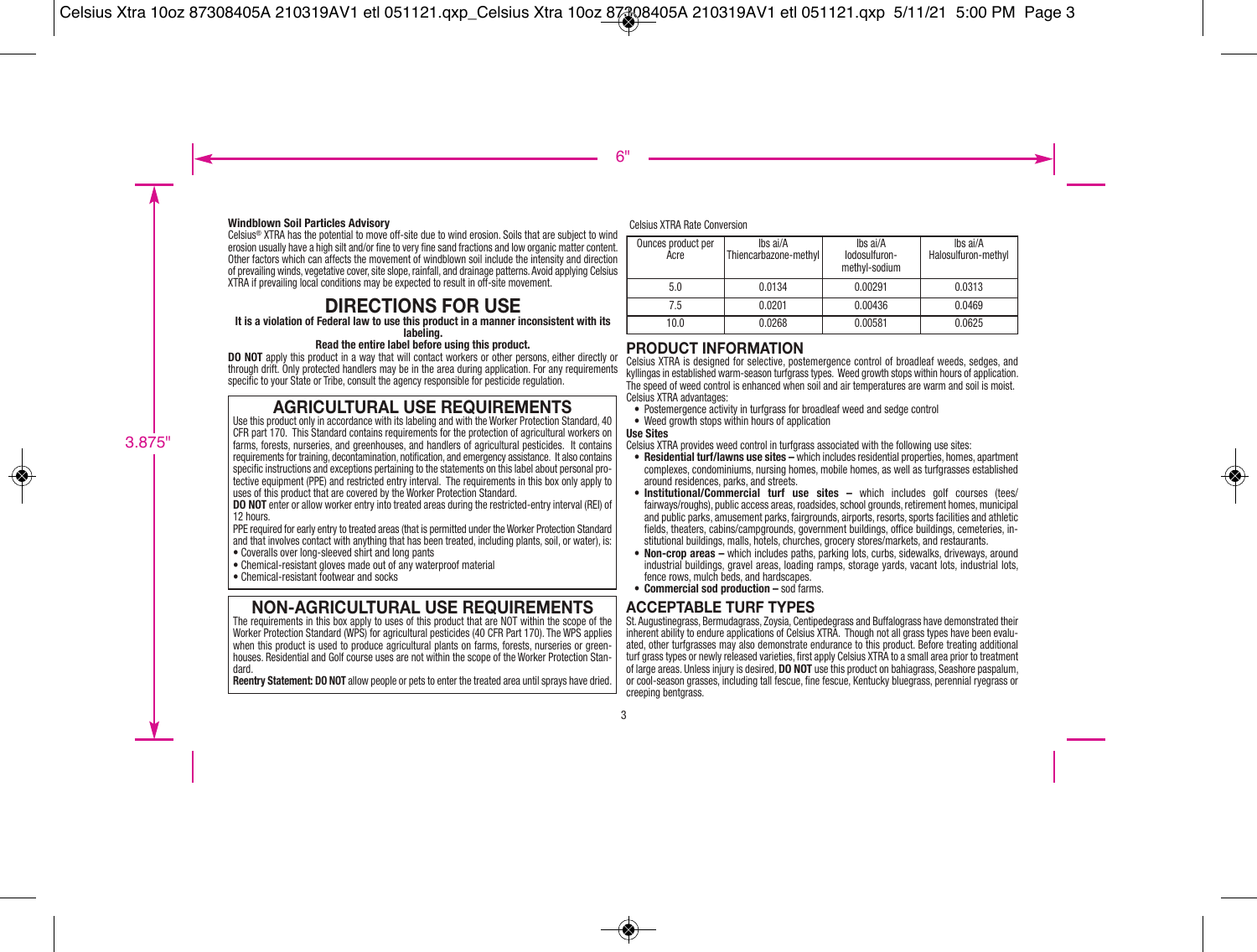#### **Windblown Soil Particles Advisory**

Celsius® XTRA has the potential to move off-site due to wind erosion. Soils that are subject to wind erosion usually have a high silt and/or fine to very fine sand fractions and low organic matter content. Other factors which can affects the movement of windblown soil include the intensity and direction of prevailing winds, vegetative cover, site slope, rainfall, and drainage patterns. Avoid applying Celsius XTRA if prevailing local conditions may be expected to result in off-site movement.

### **DIRECTIONS FOR USE**

**It is a violation of Federal law to use this product in a manner inconsistent with its labeling.** 

**Read the entire label before using this product.**

**DO NOT** apply this product in a way that will contact workers or other persons, either directly or through drift. Only protected handlers may be in the area during application. For any requirements specific to your State or Tribe, consult the agency responsible for pesticide regulation.

### **AGRICULTURAL USE REQUIREMENTS**

Use this product only in accordance with its labeling and with the Worker Protection Standard, 40 CFR part 170. This Standard contains requirements for the protection of agricultural workers on farms, forests, nurseries, and greenhouses, and handlers of agricultural pesticides. It contains requirements for training, decontamination, notification, and emergency assistance. It also contains specific instructions and exceptions pertaining to the statements on this label about personal protective equipment (PPE) and restricted entry interval. The requirements in this box only apply to uses of this product that are covered by the Worker Protection Standard.

**DO NOT** enter or allow worker entry into treated areas during the restricted-entry interval (REI) of 12 hours.

PPE required for early entry to treated areas (that is permitted under the Worker Protection Standard and that involves contact with anything that has been treated, including plants, soil, or water), is:

- Coveralls over long-sleeved shirt and long pants
- Chemical-resistant gloves made out of any waterproof material
- Chemical-resistant footwear and socks

### **NON-AGRICULTURAL USE REQUIREMENTS**

The requirements in this box apply to uses of this product that are NOT within the scope of the Worker Protection Standard (WPS) for agricultural pesticides (40 CFR Part 170). The WPS applies when this product is used to produce agricultural plants on farms, forests, nurseries or greenhouses. Residential and Golf course uses are not within the scope of the Worker Protection Stan dard.

**Reentry Statement: DO NOT** allow people or pets to enter the treated area until sprays have dried.

Celsius XTRA Rate Conversion

| Ounces product per<br>Acre | Ibs ai/A<br>Thiencarbazone-methyl | Ibs ai/A<br>lodosulfuron-<br>methyl-sodium | Ibs ai/A<br>Halosulfuron-methyl |
|----------------------------|-----------------------------------|--------------------------------------------|---------------------------------|
| 5.0                        | 0.0134                            | 0.00291                                    | 0.0313                          |
| 7.5                        | 0.0201                            | 0.00436                                    | 0.0469                          |
| 10.0                       | 0.0268                            | 0.00581                                    | 0.0625                          |

### **PRODUCT INFORMATION**

Celsius XTRA is designed for selective, postemergence control of broadleaf weeds, sedges, and kyllingas in established warm-season turfgrass types. Weed growth stops within hours of application. The speed of weed control is enhanced when soil and air temperatures are warm and soil is moist. Celsius XTRA advantages:

- Postemergence activity in turfgrass for broadleaf weed and sedge control
- Weed growth stops within hours of application

#### **Use Sites**

Celsius XTRA provides weed control in turfgrass associated with the following use sites:

- **Residential turf/lawns use sites** which includes residential properties, homes, apartment complexes, condominiums, nursing homes, mobile homes, as well as turfgrasses established around residences, parks, and streets.
- **Institutional/Commercial turf use sites –** which includes golf courses (tees/ fairways/roughs), public access areas, roadsides, school grounds, retirement homes, municipal and public parks, amusement parks, fairgrounds, airports, resorts, sports facilities and athletic fields, theaters, cabins/campgrounds, government buildings, office buildings, cemeteries, institutional buildings, malls, hotels, churches, grocery stores/markets, and restaurants.
- **Non-crop areas –** which includes paths, parking lots, curbs, sidewalks, driveways, around industrial buildings, gravel areas, loading ramps, storage yards, vacant lots, industrial lots, fence rows, mulch beds, and hardscapes.
- **Commercial sod production –** sod farms.

### **ACCEPTABLE TURF TYPES**

St. Augustinegrass, Bermudagrass, Zoysia, Centipedegrass and Buffalograss have demonstrated their inherent ability to endure applications of Celsius XTRA. Though not all grass types have been evaluated, other turfgrasses may also demonstrate endurance to this product. Before treating additional turf grass types or newly released varieties, first apply Celsius XTRA to a small area prior to treatment of large areas. Unless injury is desired, **DO NOT** use this product on bahiagrass, Seashore paspalum, or cool-season grasses, including tall fescue, fine fescue, Kentucky bluegrass, perennial ryegrass or creeping bentgrass.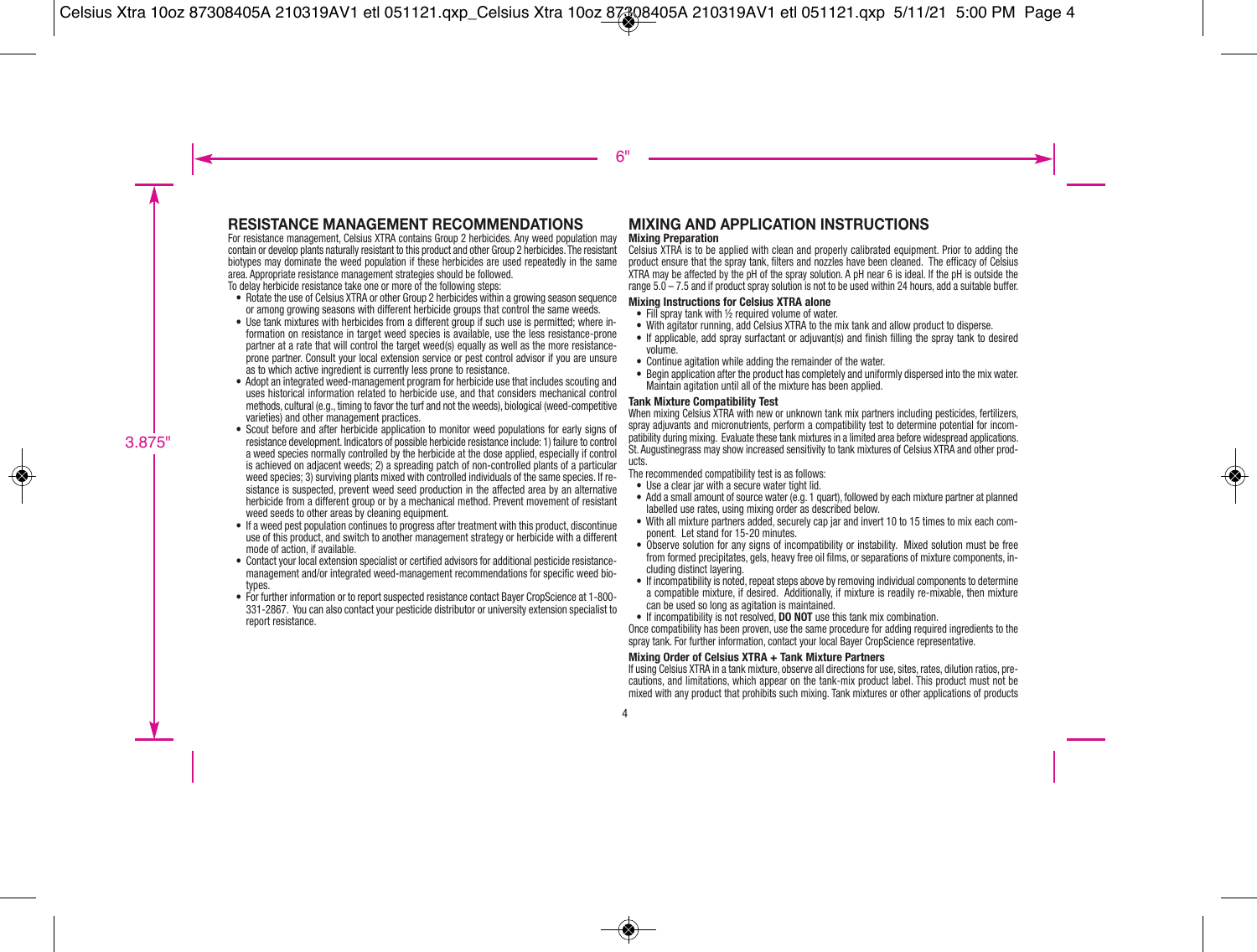### **RESISTANCE MANAGEMENT RECOMMENDATIONS**

For resistance management, Celsius XTRA contains Group 2 herbicides. Any weed population may contain or develop plants naturally resistant to this product and other Group 2 herbicides. The resistant biotypes may dominate the weed population if these herbicides are used repeatedly in the same area. Appropriate resistance management strategies should be followed.

To delay herbicide resistance take one or more of the following steps:

- Rotate the use of Celsius XTRA or other Group 2 herbicides within a growing season sequence or among growing seasons with different herbicide groups that control the same weeds.
- Use tank mixtures with herbicides from a different group if such use is permitted; where information on resistance in target weed species is available, use the less resistance-prone partner at a rate that will control the target weed(s) equally as well as the more resistanceprone partner. Consult your local extension service or pest control advisor if you are unsure as to which active ingredient is currently less prone to resistance.
- Adopt an integrated weed-management program for herbicide use that includes scouting and uses historical information related to herbicide use, and that considers mechanical control methods, cultural (e.g., timing to favor the turf and not the weeds), biological (weed-competitive varieties) and other management practices.
- Scout before and after herbicide application to monitor weed populations for early signs of resistance development. Indicators of possible herbicide resistance include: 1) failure to control a weed species normally controlled by the herbicide at the dose applied, especially if control is achieved on adjacent weeds; 2) a spreading patch of non-controlled plants of a particular weed species; 3) surviving plants mixed with controlled individuals of the same species. If resistance is suspected, prevent weed seed production in the affected area by an alternative herbicide from a different group or by a mechanical method. Prevent movement of resistant weed seeds to other areas by cleaning equipment.
- If a weed pest population continues to progress after treatment with this product, discontinue use of this product, and switch to another management strategy or herbicide with a different mode of action, if available.
- Contact your local extension specialist or certified advisors for additional pesticide resistancemanagement and/or integrated weed-management recommendations for specific weed bio types.
- For further information or to report suspected resistance contact Bayer CropScience at 1-800- 331-2867. You can also contact your pesticide distributor or university extension specialist to report resistance.

#### **MIXING AND APPLICATION INSTRUCTIONS Mixing Preparation**

Celsius XTRA is to be applied with clean and properly calibrated equipment. Prior to adding the product ensure that the spray tank, filters and nozzles have been cleaned. The efficacy of Celsius XTRA may be affected by the pH of the spray solution. A pH near 6 is ideal. If the pH is outside the range 5.0 – 7.5 and if product spray solution is not to be used within 24 hours, add a suitable buffer.

#### **Mixing Instructions for Celsius XTRA alone**

- Fill spray tank with ½ required volume of water.
- With agitator running, add Celsius XTRA to the mix tank and allow product to disperse.
- If applicable, add spray surfactant or adjuvant(s) and finish filling the spray tank to desired volume.
- Continue agitation while adding the remainder of the water.
- Begin application after the product has completely and uniformly dispersed into the mix water. Maintain agitation until all of the mixture has been applied.

#### **Tank Mixture Compatibility Test**

When mixing Celsius XTRA with new or unknown tank mix partners including pesticides, fertilizers, spray adjuvants and micronutrients, perform a compatibility test to determine potential for incompatibility during mixing. Evaluate these tank mixtures in a limited area before widespread applications. St. Augustinegrass may show increased sensitivity to tank mixtures of Celsius XTRA and other products.

The recommended compatibility test is as follows:

- Use a clear jar with a secure water tight lid.
- Add a small amount of source water (e.g. 1 quart), followed by each mixture partner at planned labelled use rates, using mixing order as described below.
- With all mixture partners added, securely cap jar and invert 10 to 15 times to mix each component. Let stand for 15-20 minutes.
- Observe solution for any signs of incompatibility or instability. Mixed solution must be free from formed precipitates, gels, heavy free oil films, or separations of mixture components, including distinct layering.
- If incompatibility is noted, repeat steps above by removing individual components to determine a compatible mixture, if desired. Additionally, if mixture is readily re-mixable, then mixture can be used so long as agitation is maintained.
- If incompatibility is not resolved, **DO NOT** use this tank mix combination.

Once compatibility has been proven, use the same procedure for adding required ingredients to the spray tank. For further information, contact your local Bayer CropScience representative.

#### **Mixing Order of Celsius XTRA + Tank Mixture Partners**

If using Celsius XTRA in a tank mixture, observe all directions for use, sites, rates, dilution ratios, precautions, and limitations, which appear on the tank-mix product label. This product must not be mixed with any product that prohibits such mixing. Tank mixtures or other applications of products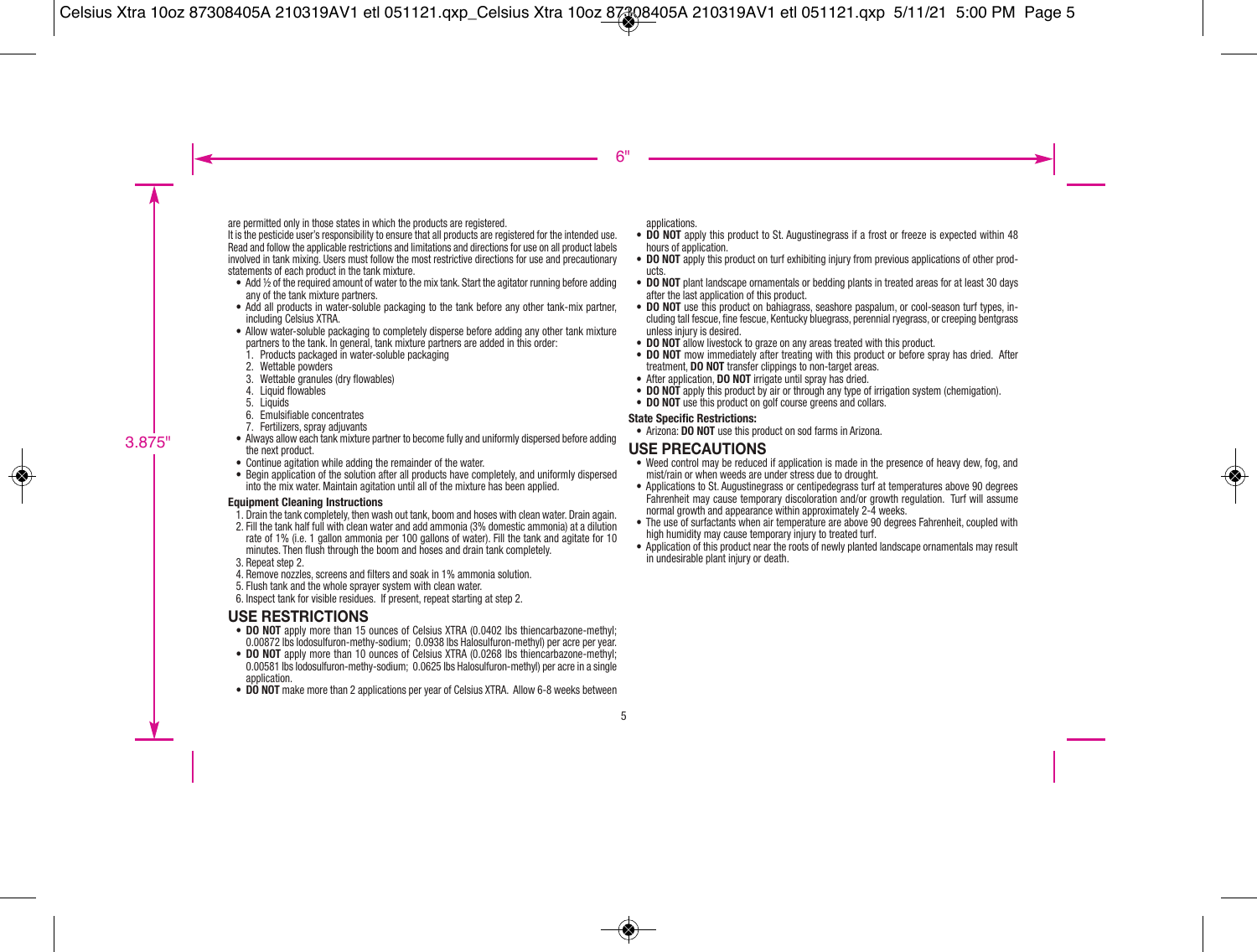are permitted only in those states in which the products are registered.

It is the pesticide user's responsibility to ensure that all products are registered for the intended use. Read and follow the applicable restrictions and limitations and directions for use on all product labels involved in tank mixing. Users must follow the most restrictive directions for use and precautionary statements of each product in the tank mixture.

- Add 1/2 of the required amount of water to the mix tank. Start the agitator running before adding any of the tank mixture partners.
- Add all products in water-soluble packaging to the tank before any other tank-mix partner, including Celsius XTRA.
- Allow water-soluble packaging to completely disperse before adding any other tank mixture partners to the tank. In general, tank mixture partners are added in this order:
	- 1. Products packaged in water-soluble packaging
	- 2. Wettable powders
	- 3. Wettable granules (dry flowables)
	- 4. Liquid flowables
	- 5. Liquids
	- 6. Emulsifiable concentrates
	- 7. Fertilizers, spray adjuvants
- Always allow each tank mixture partner to become fully and uniformly dispersed before adding the next product.
- Continue agitation while adding the remainder of the water.
- Begin application of the solution after all products have completely, and uniformly dispersed into the mix water. Maintain agitation until all of the mixture has been applied.

#### **Equipment Cleaning Instructions**

- 1. Drain the tank completely, then wash out tank, boom and hoses with clean water. Drain again.
- 2. Fill the tank half full with clean water and add ammonia (3% domestic ammonia) at a dilution rate of 1% (i.e. 1 gallon ammonia per 100 gallons of water). Fill the tank and agitate for 10 minutes. Then flush through the boom and hoses and drain tank completely.
- 3. Repeat step 2.
- 4. Remove nozzles, screens and filters and soak in 1% ammonia solution.
- 5. Flush tank and the whole sprayer system with clean water.
- 6. Inspect tank for visible residues. If present, repeat starting at step 2.

### **USE RESTRICTIONS**

- **DO NOT** apply more than 15 ounces of Celsius XTRA (0.0402 lbs thiencarbazone-methyl: 0.00872 lbs Iodosulfuron-methy-sodium; 0.0938 lbs Halosulfuron-methyl) per acre per year.
- **DO NOT** apply more than 10 ounces of Celsius XTRA (0.0268 lbs thiencarbazone-methyl: 0.00581 lbs Iodosulfuron-methy-sodium; 0.0625 lbs Halosulfuron-methyl) per acre in a single application.
- **DO NOT** make more than 2 applications per year of Celsius XTRA. Allow 6-8 weeks between

applications.

- **DO NOT** apply this product to St. Augustinegrass if a frost or freeze is expected within 48 hours of application.
- **DO NOT** apply this product on turf exhibiting injury from previous applications of other products.
- **DO NOT** plant landscape ornamentals or bedding plants in treated areas for at least 30 days after the last application of this product.
- **DO NOT** use this product on bahiagrass, seashore paspalum, or cool-season turf types, including tall fescue, fine fescue, Kentucky bluegrass, perennial ryegrass, or creeping bentgrass unless injury is desired.
- **DO NOT** allow livestock to graze on any areas treated with this product.
- **DO NOT** mow immediately after treating with this product or before spray has dried. After treatment, **DO NOT** transfer clippings to non-target areas.
- After application, **DO NOT** irrigate until spray has dried.
- **DO NOT** apply this product by air or through any type of irrigation system (chemigation).
- **DO NOT** use this product on golf course greens and collars.

#### **State Specific Restrictions:**

• Arizona: **DO NOT** use this product on sod farms in Arizona.

### **USE PRECAUTIONS**

- Weed control may be reduced if application is made in the presence of heavy dew, fog, and mist/rain or when weeds are under stress due to drought.
- Applications to St. Augustinegrass or centipedegrass turf at temperatures above 90 degrees Fahrenheit may cause temporary discoloration and/or growth regulation. Turf will assume normal growth and appearance within approximately 2-4 weeks.
- The use of surfactants when air temperature are above 90 degrees Fahrenheit, coupled with high humidity may cause temporary injury to treated turf.
- Application of this product near the roots of newly planted landscape ornamentals may result in undesirable plant injury or death.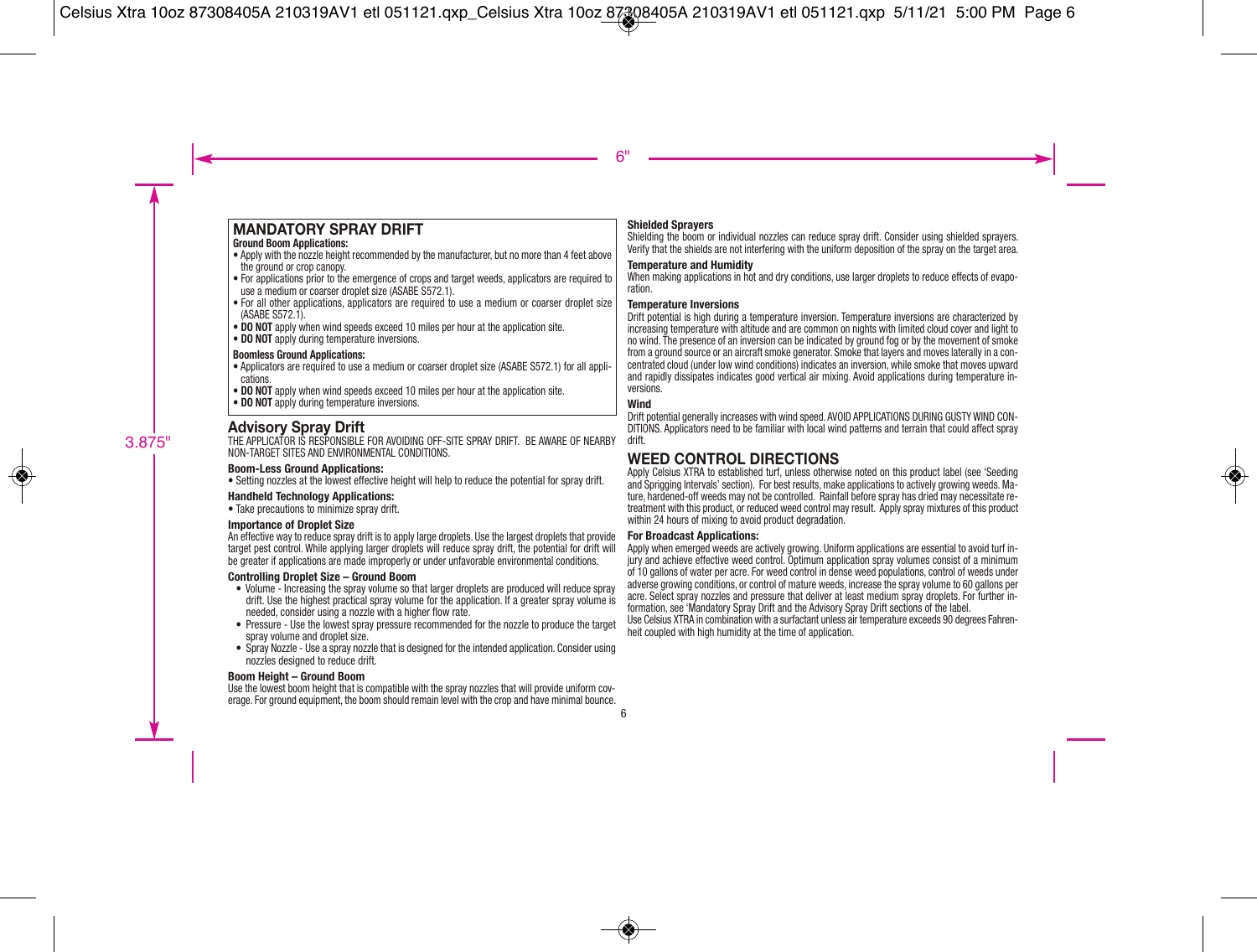### **MANDATORY SPRAY DRIFT**

#### **Ground Boom Applications:**

- Apply with the nozzle height recommended by the manufacturer, but no more than 4 feet above the ground or crop canopy.
- For applications prior to the emergence of crops and target weeds, applicators are required to use a medium or coarser droplet size (ASABE S572.1).
- $\bullet$  For all other applications, applicators are required to use a medium or coarser droplet size (ASABE S572.1).
- **DO NOT** apply when wind speeds exceed 10 miles per hour at the application site.
- **DO NOT** apply during temperature inversions.

#### **Boomless Ground Applications:**

- Applicators are required to use a medium or coarser droplet size (ASABE S572.1) for all applications.
- **DO NOT** apply when wind speeds exceed 10 miles per hour at the application site.
- **DO NOT** apply during temperature inversions.

### **Advisory Spray Drift**

THE APPLICATOR IS RESPONSIBLE FOR AVOIDING OFF-SITE SPRAY DRIFT. BE AWARE OF NEARBY NON-TARGET SITES AND ENVIRONMENTAL CONDITIONS.

#### **Boom-Less Ground Applications:**

• Setting nozzles at the lowest effective height will help to reduce the potential for spray drift.

#### **Handheld Technology Applications:**

• Take precautions to minimize spray drift.

#### **Importance of Droplet Size**

An effective way to reduce spray drift is to apply large droplets. Use the largest droplets that provide target pest control. While applying larger droplets will reduce spray drift, the potential for drift will be greater if applications are made improperly or under unfavorable environmental conditions.

#### **Controlling Droplet Size – Ground Boom**

- Volume Increasing the spray volume so that larger droplets are produced will reduce spray drift. Use the highest practical spray volume for the application. If a greater spray volume is needed, consider using a nozzle with a higher flow rate.
- Pressure Use the lowest spray pressure recommended for the nozzle to produce the target spray volume and droplet size.
- Spray Nozzle Use a spray nozzle that is designed for the intended application. Consider using nozzles designed to reduce drift.

#### **Boom Height – Ground Boom**

Use the lowest boom height that is compatible with the spray nozzles that will provide uniform coverage. For ground equipment, the boom should remain level with the crop and have minimal bounce.

#### **Shielded Sprayers**

Shielding the boom or individual nozzles can reduce spray drift. Consider using shielded sprayers. Verify that the shields are not interfering with the uniform deposition of the spray on the target area.

#### **Temperature and Humidity**

When making applications in hot and dry conditions, use larger droplets to reduce effects of evaporation.

#### **Temperature Inversions**

Drift potential is high during a temperature inversion. Temperature inversions are characterized by increasing temperature with altitude and are common on nights with limited cloud cover and light to no wind. The presence of an inversion can be indicated by ground fog or by the movement of smoke from a ground source or an aircraft smoke generator. Smoke that layers and moves laterally in a concentrated cloud (under low wind conditions) indicates an inversion, while smoke that moves upward and rapidly dissipates indicates good vertical air mixing. Avoid applications during temperature in versions.

#### **Wind**

Drift potential generally increases with wind speed. AVOID APPLICATIONS DURING GUSTY WIND CON-DITIONS. Applicators need to be familiar with local wind patterns and terrain that could affect spray drift.

### **WEED CONTROL DIRECTIONS**

Apply Celsius XTRA to established turf, unless otherwise noted on this product label (see 'Seeding and Sprigging Intervals' section). For best results, make applications to actively growing weeds. Mature, hardened-off weeds may not be controlled. Rainfall before spray has dried may necessitate re treatment with this product, or reduced weed control may result. Apply spray mixtures of this product within 24 hours of mixing to avoid product degradation.

#### **For Broadcast Applications:**

Apply when emerged weeds are actively growing. Uniform applications are essential to avoid turf in jury and achieve effective weed control. Optimum application spray volumes consist of a minimum of 10 gallons of water per acre. For weed control in dense weed populations, control of weeds under adverse growing conditions, or control of mature weeds, increase the spray volume to 60 gallons per acre. Select spray nozzles and pressure that deliver at least medium spray droplets. For further in formation, see 'Mandatory Spray Drift and the Advisory Spray Drift sections of the label. Use Celsius XTRA in combination with a surfactant unless air temperature exceeds 90 degrees Fahren heit coupled with high humidity at the time of application.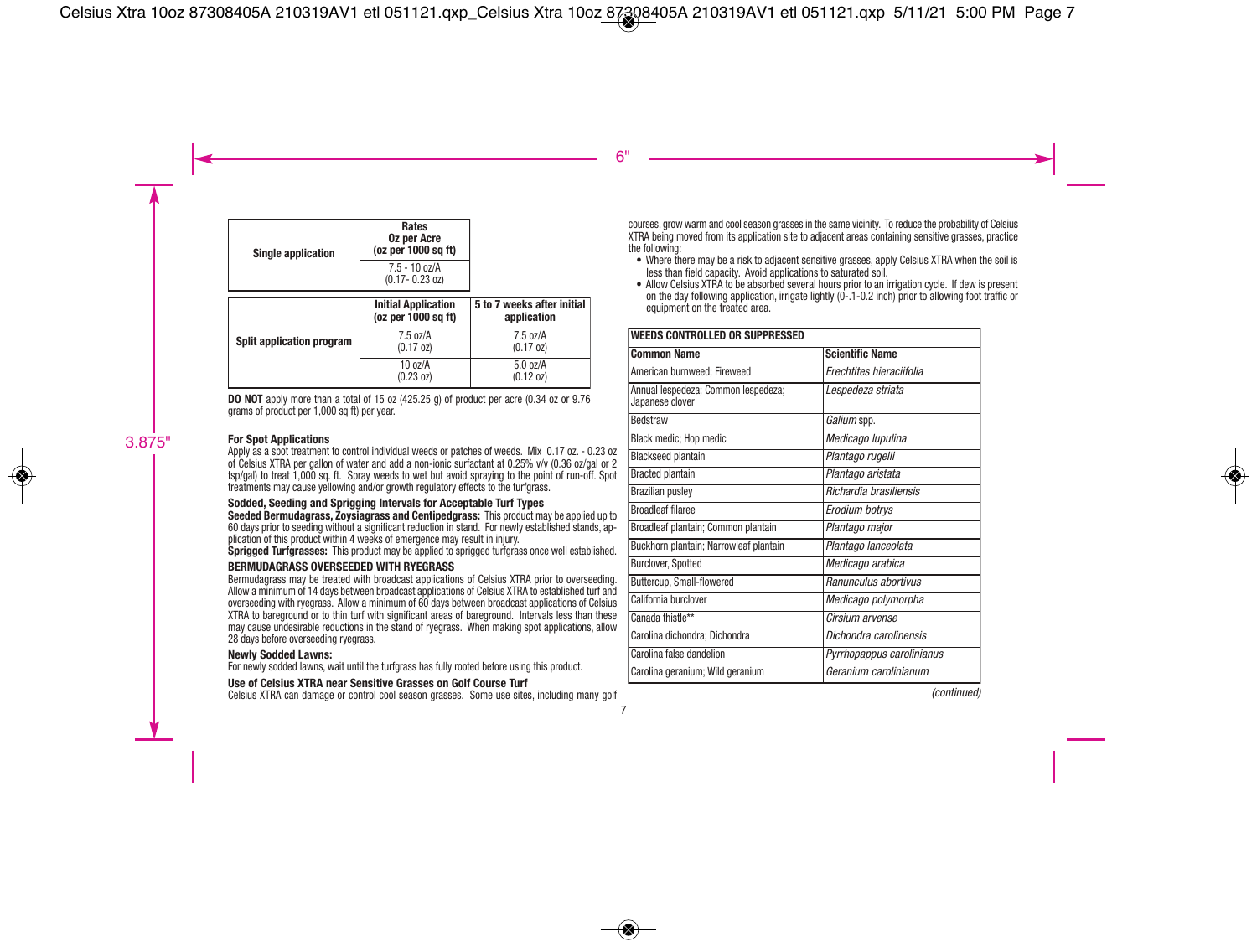| <b>Single application</b> | Rates<br><b>Oz per Acre</b><br>(oz per 1000 sq ft) |                                           |
|---------------------------|----------------------------------------------------|-------------------------------------------|
|                           | $7.5 - 10$ oz/A<br>$(0.17 - 0.23$ oz)              |                                           |
|                           | <b>Initial Application</b><br>(oz per 1000 sq ft)  | 5 to 7 weeks after initial<br>application |
| Split application program | $7.5 \text{ oz/A}$<br>$(0.17 \text{ oz})$          | $7.5 \text{ oz/A}$<br>$(0.17 \text{ oz})$ |
|                           | $10 \frac{\text{a}}{\text{a}}$<br>(0.23 oz)        | 5.0 oz/A<br>(0.12 oz)                     |

**DO NOT** apply more than a total of 15 oz (425.25 g) of product per acre (0.34 oz or 9.76 grams of product per 1,000 sq ft) per year.

#### **For Spot Applications**

Apply as a spot treatment to control individual weeds or patches of weeds. Mix 0.17 oz. - 0.23 oz of Celsius XTRA per gallon of water and add a non-ionic surfactant at 0.25% v/v (0.36 oz/gal or 2 tsp/gal) to treat 1,000 sq. ft. Spray weeds to wet but avoid spraying to the point of run-off. Spot treatments may cause yellowing and/or growth regulatory effects to the turfgrass.

#### **Sodded, Seeding and Sprigging Intervals for Acceptable Turf Types**

**Seeded Bermudagrass, Zoysiagrass and Centipedgrass:** This product may be applied up to 60 days prior to seeding without a significant reduction in stand. For newly established stands, application of this product within 4 weeks of emergence may result in injury.

**Sprigged Turfgrasses:** This product may be applied to sprigged turfgrass once well established.

#### **BERMUDAGRASS OVERSEEDED WITH RYEGRASS**

Bermudagrass may be treated with broadcast applications of Celsius XTRA prior to overseeding. Allow a minimum of 14 days between broadcast applications of Celsius XTRA to established turf and overseeding with ryegrass. Allow a minimum of 60 days between broadcast applications of Celsius XTRA to bareground or to thin turf with significant areas of bareground. Intervals less than these may cause undesirable reductions in the stand of ryegrass. When making spot applications, allow 28 days before overseeding ryegrass.

#### **Newly Sodded Lawns:**

For newly sodded lawns, wait until the turfgrass has fully rooted before using this product.

#### **Use of Celsius XTRA near Sensitive Grasses on Golf Course Turf**

Celsius XTRA can damage or control cool season grasses. Some use sites, including many golf

courses, grow warm and cool season grasses in the same vicinity. To reduce the probability of Celsius XTRA being moved from its application site to adjacent areas containing sensitive grasses, practice the following:

- Where there may be a risk to adjacent sensitive grasses, apply Celsius XTRA when the soil is less than field capacity. Avoid applications to saturated soil.
- Allow Celsius XTRA to be absorbed several hours prior to an irrigation cycle. If dew is present on the day following application, irrigate lightly (0-.1-0.2 inch) prior to allowing foot traffic or equipment on the treated area.

| <b>WEEDS CONTROLLED OR SUPPRESSED</b>                  |                           |  |
|--------------------------------------------------------|---------------------------|--|
| <b>Common Name</b>                                     | <b>Scientific Name</b>    |  |
| American burnweed: Fireweed                            | Erechtites hieraciifolia  |  |
| Annual lespedeza; Common lespedeza;<br>Japanese clover | Lespedeza striata         |  |
| Bedstraw                                               | Galium spp.               |  |
| Black medic; Hop medic                                 | Medicago lupulina         |  |
| <b>Blackseed plantain</b>                              | Plantago rugelii          |  |
| <b>Bracted plantain</b>                                | Plantago aristata         |  |
| <b>Brazilian pusley</b>                                | Richardia brasiliensis    |  |
| <b>Broadleaf filaree</b>                               | Erodium botrys            |  |
| Broadleaf plantain; Common plantain                    | Plantago major            |  |
| Buckhorn plantain; Narrowleaf plantain                 | Plantago lanceolata       |  |
| Burclover, Spotted                                     | Medicago arabica          |  |
| Buttercup, Small-flowered                              | Ranunculus abortivus      |  |
| California burclover                                   | Medicago polymorpha       |  |
| Canada thistle**                                       | Cirsium arvense           |  |
| Carolina dichondra; Dichondra                          | Dichondra carolinensis    |  |
| Carolina false dandelion                               | Pyrrhopappus carolinianus |  |
| Carolina geranium; Wild geranium                       | Geranium carolinianum     |  |

(continued)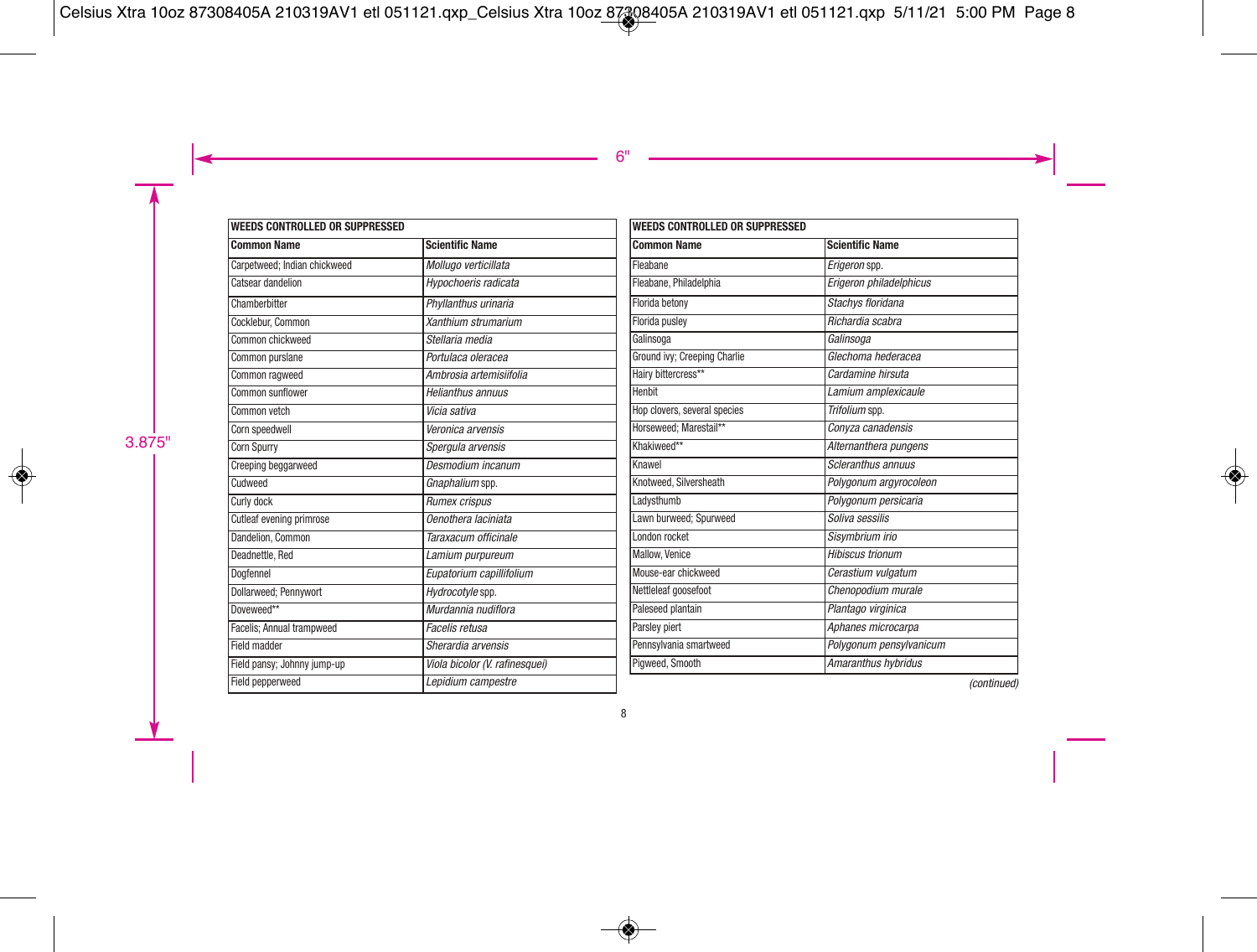| <b>WEEDS CONTROLLED OR SUPPRESSED</b> |                                |  |
|---------------------------------------|--------------------------------|--|
| <b>Common Name</b>                    | <b>Scientific Name</b>         |  |
| Carpetweed: Indian chickweed          | Mollugo verticillata           |  |
| Catsear dandelion                     | Hypochoeris radicata           |  |
| Chamberbitter                         | Phyllanthus urinaria           |  |
| Cocklebur, Common                     | Xanthium strumarium            |  |
| Common chickweed                      | Stellaria media                |  |
| Common purslane                       | Portulaca oleracea             |  |
| Common ragweed                        | Ambrosia artemisiifolia        |  |
| Common sunflower                      | Helianthus annuus              |  |
| Common vetch                          | Vicia sativa                   |  |
| Corn speedwell                        | Veronica arvensis              |  |
| <b>Corn Spurry</b>                    | Spergula arvensis              |  |
| <b>Creeping beggarweed</b>            | Desmodium incanum              |  |
| Cudweed                               | Gnaphalium spp.                |  |
| Curly dock                            | Rumex crispus                  |  |
| Cutleaf evening primrose              | Oenothera laciniata            |  |
| Dandelion, Common                     | Taraxacum officinale           |  |
| Deadnettle, Red                       | Lamium purpureum               |  |
| Doafennel                             | Eupatorium capillifolium       |  |
| Dollarweed; Pennywort                 | Hydrocotyle spp.               |  |
| Doveweed**                            | Murdannia nudiflora            |  |
| Facelis; Annual trampweed             | Facelis retusa                 |  |
| Field madder                          | Sherardia arvensis             |  |
| Field pansy; Johnny jump-up           | Viola bicolor (V. rafinesquei) |  |
| Field pepperweed                      | Lepidium campestre             |  |

| <b>WEEDS CONTROLLED OR SUPPRESSED</b> |                         |  |
|---------------------------------------|-------------------------|--|
| <b>Common Name</b>                    | <b>Scientific Name</b>  |  |
| Fleabane                              | Erigeron spp.           |  |
| Fleabane, Philadelphia                | Erigeron philadelphicus |  |
| Florida betony                        | Stachys floridana       |  |
| Florida puslev                        | Richardia scabra        |  |
| Galinsoga                             | Galinsoga               |  |
| Ground ivy; Creeping Charlie          | Glechoma hederacea      |  |
| Hairy bittercress**                   | Cardamine hirsuta       |  |
| Henbit                                | Lamium amplexicaule     |  |
| Hop clovers, several species          | Trifolium spp.          |  |
| Horseweed: Marestail**                | Conyza canadensis       |  |
| Khakiweed**                           | Alternanthera pungens   |  |
| Knawel                                | Scleranthus annuus      |  |
| Knotweed, Silversheath                | Polygonum argyrocoleon  |  |
| Ladysthumb                            | Polygonum persicaria    |  |
| Lawn burweed: Spurweed                | Soliva sessilis         |  |
| London rocket                         | Sisvmbrium irio         |  |
| Mallow, Venice                        | <b>Hibiscus trionum</b> |  |
| Mouse-ear chickweed                   | Cerastium vulgatum      |  |
| Nettleleaf goosefoot                  | Chenopodium murale      |  |
| Paleseed plantain                     | Plantago virginica      |  |
| Parsley piert                         | Aphanes microcarpa      |  |
| Pennsylvania smartweed                | Polygonum pensylvanicum |  |
| Pigweed, Smooth                       | Amaranthus hybridus     |  |

(continued)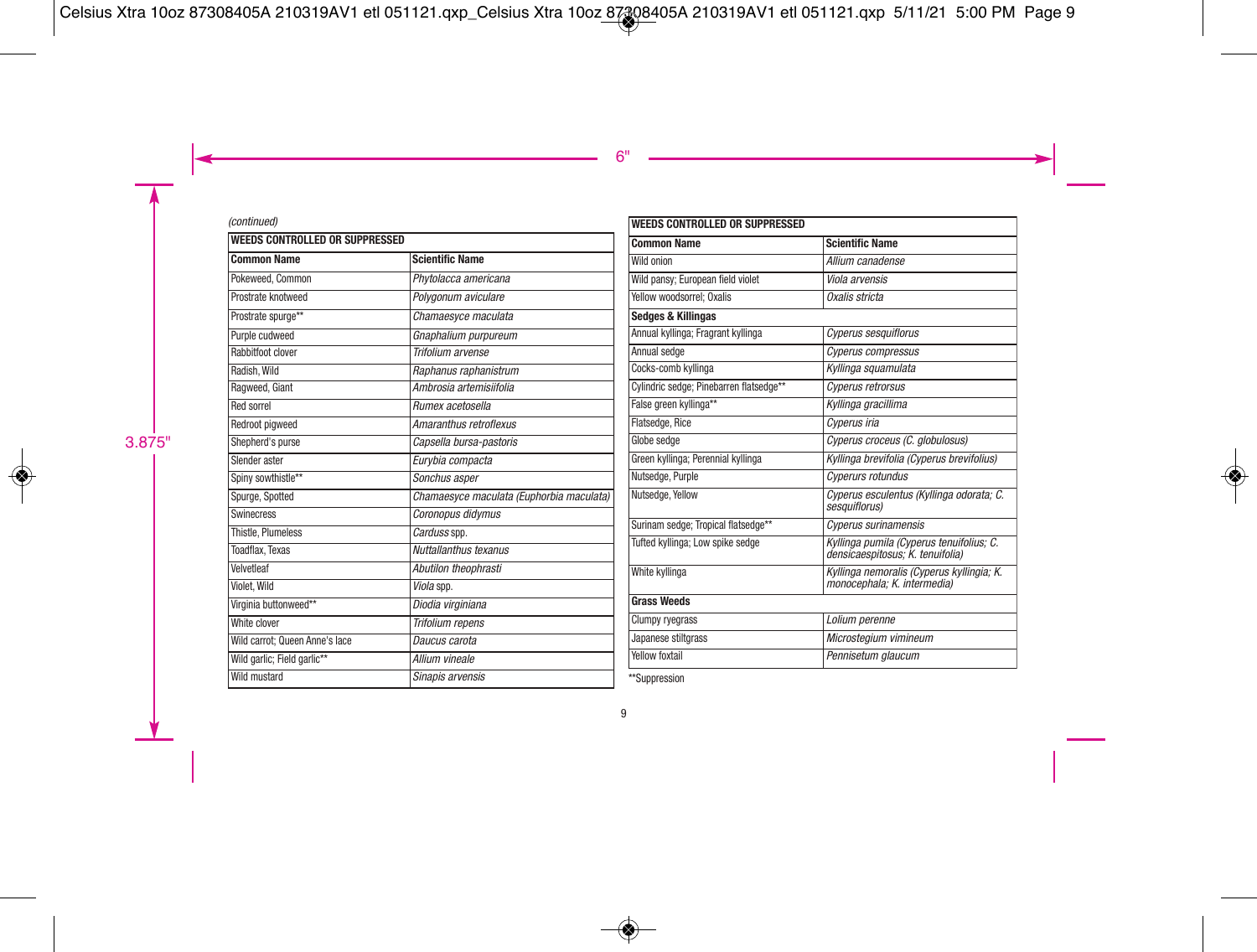#### (continued)

| <b>Common Name</b><br><b>Scientific Name</b><br>Pokeweed, Common<br>Phytolacca americana<br>Prostrate knotweed<br>Polygonum aviculare<br>Prostrate spurge**<br>Chamaesyce maculata<br>Purple cudweed<br>Gnaphalium purpureum<br>Rabbitfoot clover<br>Trifolium arvense<br>Radish, Wild<br>Raphanus raphanistrum<br>Ambrosia artemisiifolia<br>Ragweed, Giant<br><b>Red sorrel</b><br>Rumex acetosella<br>Redroot pigweed<br>Amaranthus retroflexus<br>Shepherd's purse<br>Capsella bursa-pastoris<br>Slender aster<br>Eurybia compacta<br>Spiny sowthistle**<br>Sonchus asper<br>Spurge, Spotted<br>Coronopus didymus<br>Swinecress<br>Thistle, Plumeless<br>Carduss spp.<br>Nuttallanthus texanus<br><b>Toadflax, Texas</b><br>Velvetleaf<br>Abutilon theophrasti<br>Violet. Wild<br>Viola spp.<br>Virginia buttonweed**<br>Diodia virginiana<br>White clover<br>Trifolium repens<br>Wild carrot: Queen Anne's lace<br>Daucus carota<br>Wild garlic; Field garlic**<br>Allium vineale | <b>WEEDS CONTROLLED OR SUPPRESSED</b> |                                          |  |
|----------------------------------------------------------------------------------------------------------------------------------------------------------------------------------------------------------------------------------------------------------------------------------------------------------------------------------------------------------------------------------------------------------------------------------------------------------------------------------------------------------------------------------------------------------------------------------------------------------------------------------------------------------------------------------------------------------------------------------------------------------------------------------------------------------------------------------------------------------------------------------------------------------------------------------------------------------------------------------------|---------------------------------------|------------------------------------------|--|
|                                                                                                                                                                                                                                                                                                                                                                                                                                                                                                                                                                                                                                                                                                                                                                                                                                                                                                                                                                                        |                                       |                                          |  |
|                                                                                                                                                                                                                                                                                                                                                                                                                                                                                                                                                                                                                                                                                                                                                                                                                                                                                                                                                                                        |                                       |                                          |  |
|                                                                                                                                                                                                                                                                                                                                                                                                                                                                                                                                                                                                                                                                                                                                                                                                                                                                                                                                                                                        |                                       |                                          |  |
|                                                                                                                                                                                                                                                                                                                                                                                                                                                                                                                                                                                                                                                                                                                                                                                                                                                                                                                                                                                        |                                       |                                          |  |
|                                                                                                                                                                                                                                                                                                                                                                                                                                                                                                                                                                                                                                                                                                                                                                                                                                                                                                                                                                                        |                                       |                                          |  |
|                                                                                                                                                                                                                                                                                                                                                                                                                                                                                                                                                                                                                                                                                                                                                                                                                                                                                                                                                                                        |                                       |                                          |  |
|                                                                                                                                                                                                                                                                                                                                                                                                                                                                                                                                                                                                                                                                                                                                                                                                                                                                                                                                                                                        |                                       |                                          |  |
|                                                                                                                                                                                                                                                                                                                                                                                                                                                                                                                                                                                                                                                                                                                                                                                                                                                                                                                                                                                        |                                       |                                          |  |
|                                                                                                                                                                                                                                                                                                                                                                                                                                                                                                                                                                                                                                                                                                                                                                                                                                                                                                                                                                                        |                                       |                                          |  |
|                                                                                                                                                                                                                                                                                                                                                                                                                                                                                                                                                                                                                                                                                                                                                                                                                                                                                                                                                                                        |                                       |                                          |  |
|                                                                                                                                                                                                                                                                                                                                                                                                                                                                                                                                                                                                                                                                                                                                                                                                                                                                                                                                                                                        |                                       |                                          |  |
|                                                                                                                                                                                                                                                                                                                                                                                                                                                                                                                                                                                                                                                                                                                                                                                                                                                                                                                                                                                        |                                       |                                          |  |
|                                                                                                                                                                                                                                                                                                                                                                                                                                                                                                                                                                                                                                                                                                                                                                                                                                                                                                                                                                                        |                                       |                                          |  |
|                                                                                                                                                                                                                                                                                                                                                                                                                                                                                                                                                                                                                                                                                                                                                                                                                                                                                                                                                                                        |                                       | Chamaesyce maculata (Euphorbia maculata) |  |
|                                                                                                                                                                                                                                                                                                                                                                                                                                                                                                                                                                                                                                                                                                                                                                                                                                                                                                                                                                                        |                                       |                                          |  |
|                                                                                                                                                                                                                                                                                                                                                                                                                                                                                                                                                                                                                                                                                                                                                                                                                                                                                                                                                                                        |                                       |                                          |  |
|                                                                                                                                                                                                                                                                                                                                                                                                                                                                                                                                                                                                                                                                                                                                                                                                                                                                                                                                                                                        |                                       |                                          |  |
|                                                                                                                                                                                                                                                                                                                                                                                                                                                                                                                                                                                                                                                                                                                                                                                                                                                                                                                                                                                        |                                       |                                          |  |
|                                                                                                                                                                                                                                                                                                                                                                                                                                                                                                                                                                                                                                                                                                                                                                                                                                                                                                                                                                                        |                                       |                                          |  |
|                                                                                                                                                                                                                                                                                                                                                                                                                                                                                                                                                                                                                                                                                                                                                                                                                                                                                                                                                                                        |                                       |                                          |  |
|                                                                                                                                                                                                                                                                                                                                                                                                                                                                                                                                                                                                                                                                                                                                                                                                                                                                                                                                                                                        |                                       |                                          |  |
|                                                                                                                                                                                                                                                                                                                                                                                                                                                                                                                                                                                                                                                                                                                                                                                                                                                                                                                                                                                        |                                       |                                          |  |
|                                                                                                                                                                                                                                                                                                                                                                                                                                                                                                                                                                                                                                                                                                                                                                                                                                                                                                                                                                                        |                                       |                                          |  |
| <b>Wild mustard</b><br>Sinapis arvensis                                                                                                                                                                                                                                                                                                                                                                                                                                                                                                                                                                                                                                                                                                                                                                                                                                                                                                                                                |                                       |                                          |  |

| <b>Scientific Name</b><br>Allium canadense<br>Viola arvensis<br>Oxalis stricta<br><b>Cyperus sesquiflorus</b> |
|---------------------------------------------------------------------------------------------------------------|
|                                                                                                               |
|                                                                                                               |
|                                                                                                               |
|                                                                                                               |
|                                                                                                               |
|                                                                                                               |
| Cyperus compressus                                                                                            |
| Kyllinga squamulata                                                                                           |
| Cyperus retrorsus                                                                                             |
| Kyllinga gracillima                                                                                           |
| Cyperus iria                                                                                                  |
| Cyperus croceus (C. alobulosus)                                                                               |
| Kyllinga brevifolia (Cyperus brevifolius)                                                                     |
| Cyperurs rotundus                                                                                             |
| Cyperus esculentus (Kyllinga odorata; C.<br>sesauiflorus)                                                     |
| Cyperus surinamensis                                                                                          |
| Kyllinga pumila (Cyperus tenuifolius; C.<br>densicaespitosus: K. tenuifolia)                                  |
| Kyllinga nemoralis (Cyperus kyllingia; K.<br>monocephala; K. intermedia)                                      |
|                                                                                                               |
| Lolium perenne                                                                                                |
|                                                                                                               |
| Microstegium vimineum                                                                                         |
|                                                                                                               |

\*\*Suppression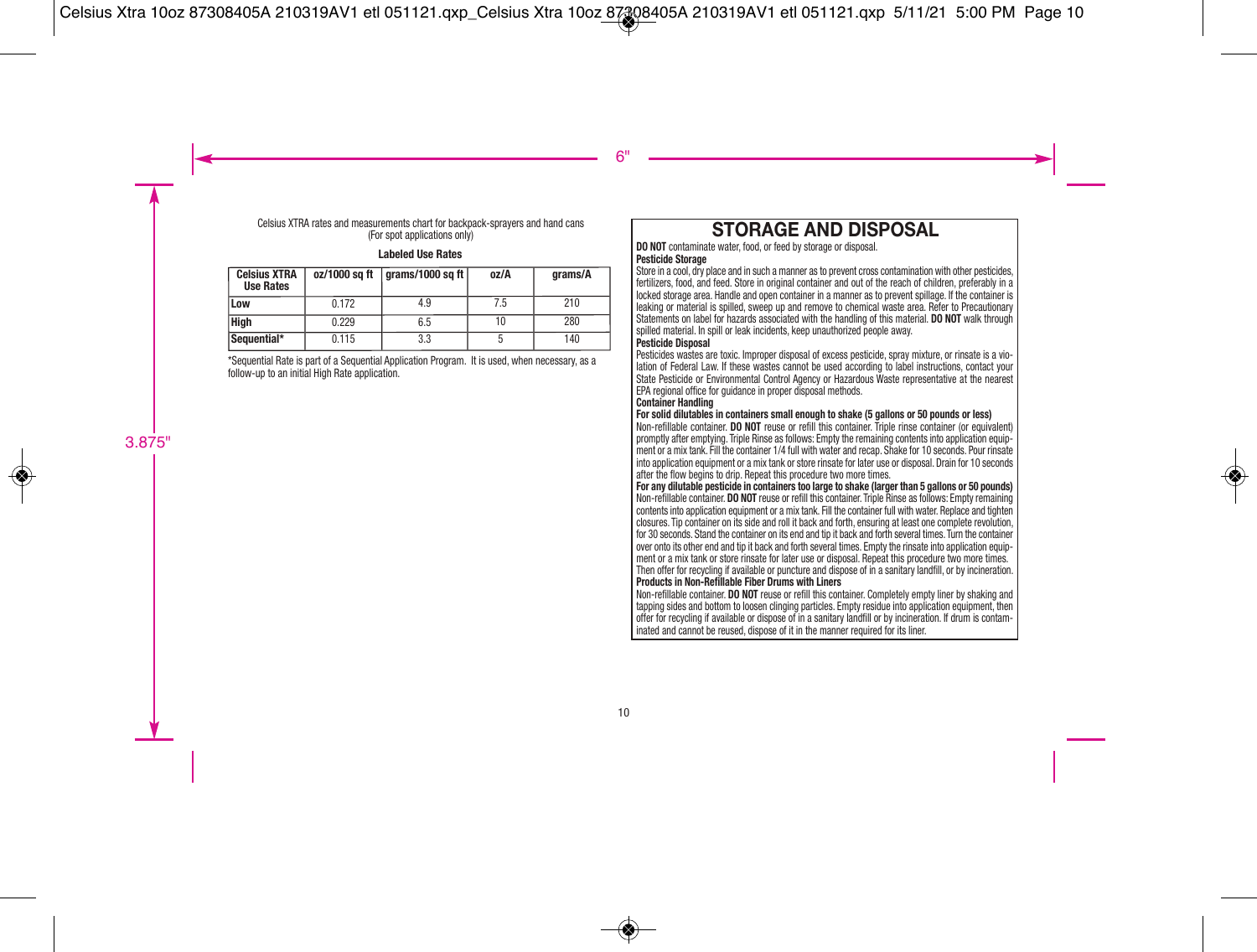Celsius XTRA rates and measurements chart for backpack-sprayers and hand cans (For spot applications only)

#### **Labeled Use Rates**

| <b>Celsius XTRA</b><br><b>Use Rates</b> |       | $oz/1000$ sq ft $ q$ rams/1000 sq ft $ q$ | oz/A | arams/A |
|-----------------------------------------|-------|-------------------------------------------|------|---------|
| Low                                     | 0.172 | 4.9                                       | 7.5  | 210     |
| <b>High</b>                             | 0.229 | 6.5                                       |      | 280     |
| Sequential*                             | 0.115 | 3.3                                       |      | 140     |

\*Sequential Rate is part of a Sequential Application Program. It is used, when necessary, as a follow-up to an initial High Rate application.

## **STORAGE AND DISPOSAL**

**DO NOT** contaminate water, food, or feed by storage or disposal. **Pesticide Storage** 

Store in a cool, dry place and in such a manner as to prevent cross contamination with other pesticides, fertilizers, food, and feed. Store in original container and out of the reach of children, preferably in a locked storage area. Handle and open container in a manner as to prevent spillage. If the container is leaking or material is spilled, sweep up and remove to chemical waste area. Refer to Precautionary Statements on label for hazards associated with the handling of this material. **DO NOT** walk through spilled material. In spill or leak incidents, keep unauthorized people away.

#### **Pesticide Disposal**

Pesticides wastes are toxic. Improper disposal of excess pesticide, spray mixture, or rinsate is a vio lation of Federal Law. If these wastes cannot be used according to label instructions, contact your State Pesticide or Environmental Control Agency or Hazardous Waste representative at the nearest EPA regional office for guidance in proper disposal methods.

#### **Container Handling**

#### **For solid dilutables in containers small enough to shake (5 gallons or 50 pounds or less)**

Non-refillable container. **DO NOT** reuse or refill this container. Triple rinse container (or equivalent) promptly after emptying. Triple Rinse as follows: Empty the remaining contents into application equip ment or a mix tank. Fill the container 1/4 full with water and recap. Shake for 10 seconds. Pour rinsate into application equipment or a mix tank or store rinsate for later use or disposal. Drain for 10 seconds after the flow begins to drip. Repeat this procedure two more times.

**For any dilutable pesticide in containers too large to shake (larger than 5 gallons or 50 pounds)** Non-refillable container. **DO NOT** reuse or refill this container. Triple Rinse as follows: Empty remaining contents into application equipment or a mix tank. Fill the container full with water. Replace and tighten closures. Tip container on its side and roll it back and forth, ensuring at least one complete revolution, for 30 seconds. Stand the container on its end and tip it back and forth several times. Turn the container over onto its other end and tip it back and forth several times. Empty the rinsate into application equip ment or a mix tank or store rinsate for later use or disposal. Repeat this procedure two more times. Then offer for recycling if available or puncture and dispose of in a sanitary landfill, or by incineration. **Products in Non-Refillable Fiber Drums with Liners** 

Non-refillable container. **DO NOT** reuse or refill this container. Completely empty liner by shaking and tapping sides and bottom to loosen clinging particles. Empty residue into application equipment, then offer for recycling if available or dispose of in a sanitary landfill or by incineration. If drum is contam inated and cannot be reused, dispose of it in the manner required for its liner.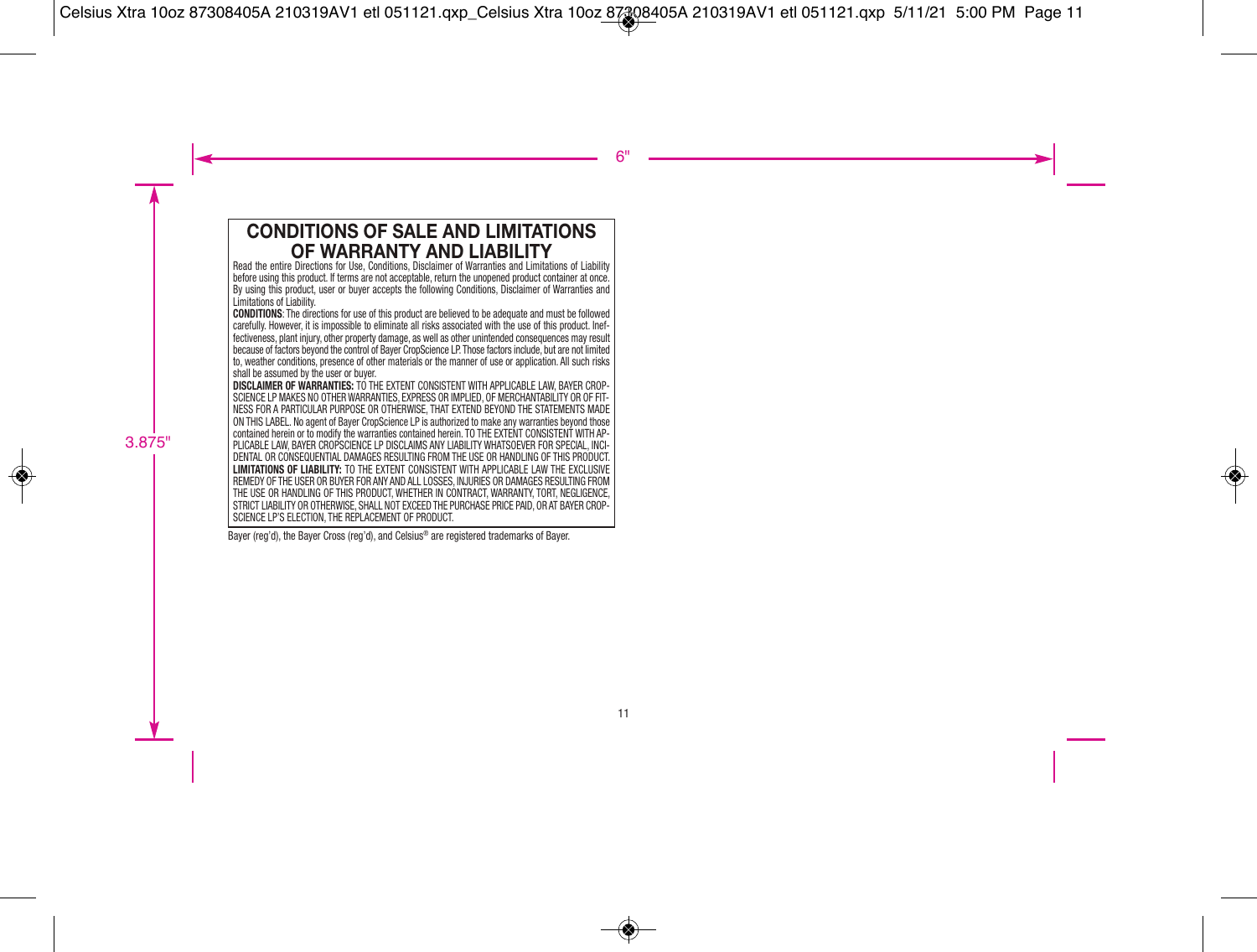### **CONDITIONS OF SALE AND LIMITATIONS OF WARRANTY AND LIABILITY**

Read the entire Directions for Use, Conditions, Disclaimer of Warranties and Limitations of Liability before using this product. If terms are not acceptable, return the unopened product container at once. By using this product, user or buyer accepts the following Conditions, Disclaimer of Warranties and Limitations of Liability.

**CONDITIONS**: The directions for use of this product are believed to be adequate and must be followed carefully. However, it is impossible to eliminate all risks associated with the use of this product. Inef fectiveness, plant injury, other property damage, as well as other unintended consequences may result because of factors beyond the control of Bayer CropScience LP. Those factors include, but are not limited to, weather conditions, presence of other materials or the manner of use or application. All such risks shall be assumed by the user or buyer.

**DISCLAIMER OF WARRANTIES:** TO THE EXTENT CONSISTENT WITH APPLICABLE LAW, BAYER CROP- SCIENCE LP MAKES NO OTHER WARRANTIES, EXPRESS OR IMPLIED, OF MERCHANTABILITY OR OF FIT-NESS FOR A PARTICULAR PURPOSE OR OTHERWISE, THAT EXTEND BEYOND THE STATEMENTS MADE ON THIS LABEL. No agent of Bayer CropScience LP is authorized to make any warranties beyond those contained herein or to modify the warranties contained herein. TO THE EXTENT CONSISTENT WITH AP-PLICABLE LAW, BAYER CROPSCIENCE LP DISCLAIMS ANY LIABILITY WHATSOEVER FOR SPECIAL, INCI- DENTAL OR CONSEQUENTIAL DAMAGES RESULTING FROM THE USE OR HANDLING OF THIS PRODUCT. **LIMITATIONS OF LIABILITY:** TO THE EXTENT CONSISTENT WITH APPLICABLE LAW THE EXCLUSIVE REMEDY OF THE USER OR BUYER FOR ANY AND ALL LOSSES, INJURIES OR DAMAGES RESULTING FROM THE USE OR HANDLING OF THIS PRODUCT, WHETHER IN CONTRACT, WARRANTY, TORT, NEGLIGENCE, STRICT LIABILITY OR OTHERWISE, SHALL NOT EXCEED THE PURCHASE PRICE PAID, OR AT BAYER CROP- SCIENCE LP'S ELECTION, THE REPLACEMENT OF PRODUCT.

Bayer (reg'd), the Bayer Cross (reg'd), and Celsius® are registered trademarks of Bayer.